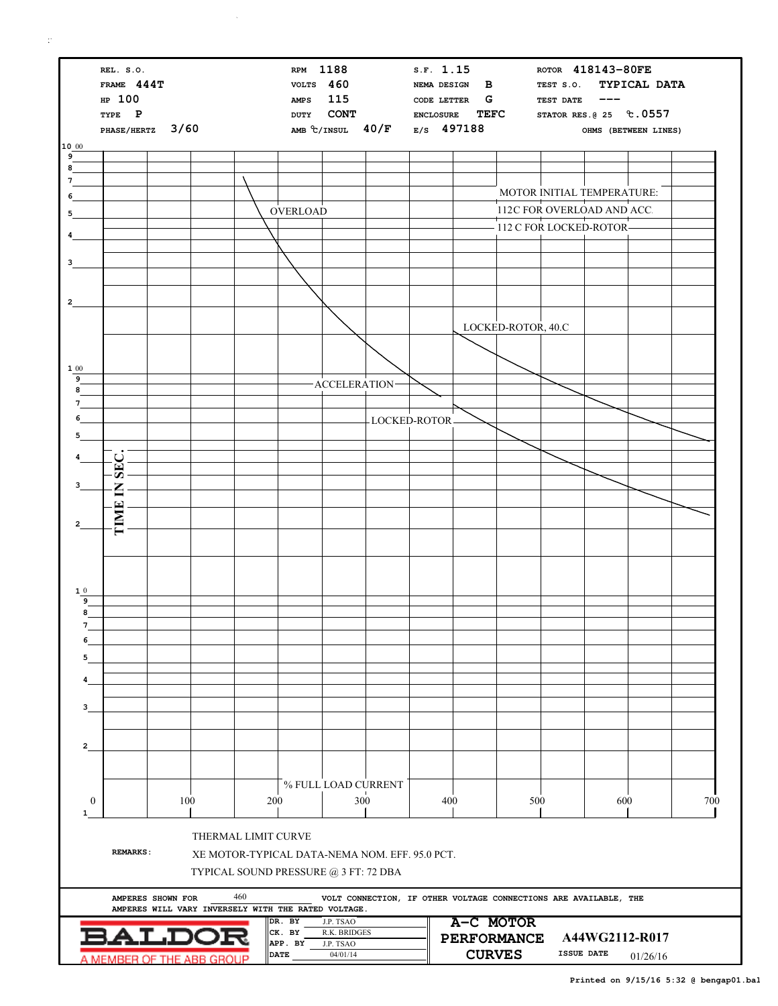$\mathbb{R}^4$ 

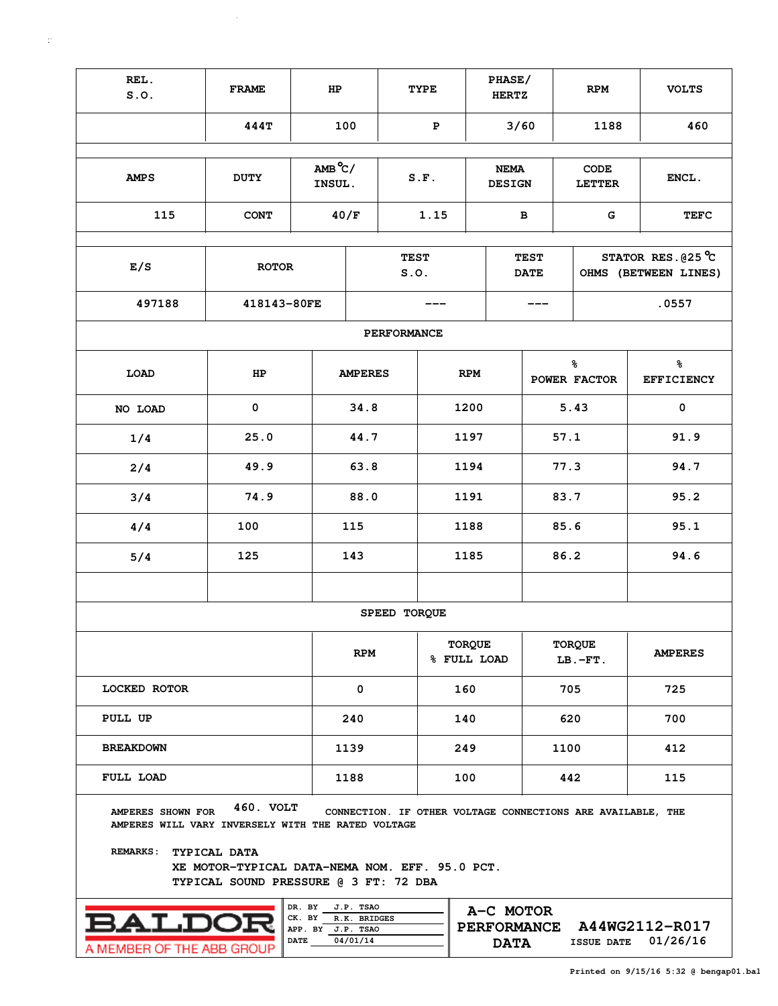| REL.<br>S.0.                                                                                     | <b>FRAME</b>                                                                                         | HP                                                   |                                       |                     | <b>TYPE</b> |               | PHASE/<br><b>HERTZ</b>                         |  |      | <b>RPM</b>                                                  | <b>VOLTS</b>                                        |  |  |  |
|--------------------------------------------------------------------------------------------------|------------------------------------------------------------------------------------------------------|------------------------------------------------------|---------------------------------------|---------------------|-------------|---------------|------------------------------------------------|--|------|-------------------------------------------------------------|-----------------------------------------------------|--|--|--|
|                                                                                                  | 444T                                                                                                 | 100                                                  |                                       | ${\bf P}$           |             | 3/60          |                                                |  | 1188 | 460                                                         |                                                     |  |  |  |
|                                                                                                  |                                                                                                      |                                                      |                                       |                     |             |               |                                                |  |      |                                                             |                                                     |  |  |  |
| <b>AMPS</b>                                                                                      | <b>DUTY</b>                                                                                          | $AMB^oC/$<br>INSUL.                                  |                                       |                     | S.F.        |               | <b>NEMA</b><br><b>DESIGN</b>                   |  |      | CODE<br><b>LETTER</b>                                       | ENCL.                                               |  |  |  |
| 115                                                                                              | <b>CONT</b>                                                                                          |                                                      | 40/F                                  |                     | 1.15        |               | в                                              |  |      | G                                                           | <b>TEFC</b>                                         |  |  |  |
|                                                                                                  |                                                                                                      |                                                      |                                       |                     |             |               |                                                |  |      |                                                             |                                                     |  |  |  |
| E/S                                                                                              | <b>ROTOR</b>                                                                                         |                                                      |                                       | <b>TEST</b><br>S.0. |             |               | <b>TEST</b><br><b>DATE</b>                     |  |      |                                                             | STATOR RES. $025^{\circ}$ C<br>OHMS (BETWEEN LINES) |  |  |  |
| 497188                                                                                           | 418143-80FE                                                                                          |                                                      |                                       |                     |             |               |                                                |  |      |                                                             | .0557                                               |  |  |  |
|                                                                                                  |                                                                                                      |                                                      |                                       | PERFORMANCE         |             |               |                                                |  |      |                                                             |                                                     |  |  |  |
| LOAD                                                                                             | HP                                                                                                   |                                                      | <b>AMPERES</b>                        |                     |             | <b>RPM</b>    |                                                |  |      | နွ<br>POWER FACTOR                                          | ಕ್ಠಿ<br><b>EFFICIENCY</b>                           |  |  |  |
| NO LOAD                                                                                          | 0                                                                                                    |                                                      | 34.8                                  |                     |             | 1200          |                                                |  |      | 5.43                                                        | $\mathbf 0$                                         |  |  |  |
| 1/4                                                                                              | 25.0                                                                                                 |                                                      | 44.7                                  |                     |             | 1197          |                                                |  | 57.1 |                                                             | 91.9                                                |  |  |  |
| 2/4                                                                                              | 49.9                                                                                                 |                                                      | 63.8                                  |                     |             | 1194          |                                                |  | 77.3 |                                                             | 94.7                                                |  |  |  |
| 3/4                                                                                              | 74.9                                                                                                 |                                                      | 88.0                                  |                     |             | 1191          |                                                |  |      | 83.7                                                        | 95.2                                                |  |  |  |
| 4/4                                                                                              | 100                                                                                                  |                                                      |                                       |                     |             | 1188          |                                                |  |      | 85.6                                                        | 95.1                                                |  |  |  |
| 5/4                                                                                              | 125                                                                                                  |                                                      | 143                                   |                     |             |               | 1185                                           |  |      | 86.2                                                        | 94.6                                                |  |  |  |
|                                                                                                  |                                                                                                      |                                                      |                                       |                     |             |               |                                                |  |      |                                                             |                                                     |  |  |  |
|                                                                                                  |                                                                                                      |                                                      |                                       | SPEED TORQUE        |             |               |                                                |  |      |                                                             |                                                     |  |  |  |
|                                                                                                  |                                                                                                      |                                                      | <b>RPM</b>                            |                     |             | <b>TORQUE</b> | % FULL LOAD                                    |  |      | TORQUE<br>$LB.-FT.$                                         | <b>AMPERES</b>                                      |  |  |  |
| <b>LOCKED ROTOR</b>                                                                              |                                                                                                      |                                                      | 0                                     |                     |             | 160           |                                                |  | 705  |                                                             | 725                                                 |  |  |  |
| PULL UP                                                                                          |                                                                                                      |                                                      | 240                                   |                     |             | 140           |                                                |  | 620  |                                                             | 700                                                 |  |  |  |
| <b>BREAKDOWN</b>                                                                                 |                                                                                                      |                                                      | 1139                                  |                     |             | 249           |                                                |  | 1100 |                                                             | 412                                                 |  |  |  |
| FULL LOAD                                                                                        |                                                                                                      |                                                      | 1188                                  |                     |             | 100           |                                                |  | 442  |                                                             | 115                                                 |  |  |  |
| AMPERES SHOWN FOR<br>AMPERES WILL VARY INVERSELY WITH THE RATED VOLTAGE<br>REMARKS: TYPICAL DATA | 460. VOLT<br>XE MOTOR-TYPICAL DATA-NEMA NOM. EFF. 95.0 PCT.<br>TYPICAL SOUND PRESSURE @ 3 FT: 72 DBA |                                                      |                                       |                     |             |               |                                                |  |      | CONNECTION. IF OTHER VOLTAGE CONNECTIONS ARE AVAILABLE, THE |                                                     |  |  |  |
| BALD<br>A MEMBER OF THE ABB GROUP                                                                |                                                                                                      | DR. BY<br>CK. BY<br>APP. BY J.P. TSAO<br><b>DATE</b> | J.P. TSAO<br>R.K. BRIDGES<br>04/01/14 |                     |             |               | A-C MOTOR<br><b>PERFORMANCE</b><br><b>DATA</b> |  |      |                                                             | A44WG2112-R017<br>01/26/16<br><b>ISSUE DATE</b>     |  |  |  |

|                           | DK.         |
|---------------------------|-------------|
|                           | CK.<br>APP. |
|                           |             |
|                           | <b>DATE</b> |
| A MEMBER OF THE ABB GROUP |             |
|                           |             |

**04/01/14 01/26/16 DATA ISSUE DATE**

 $\sim 10^{-1}$